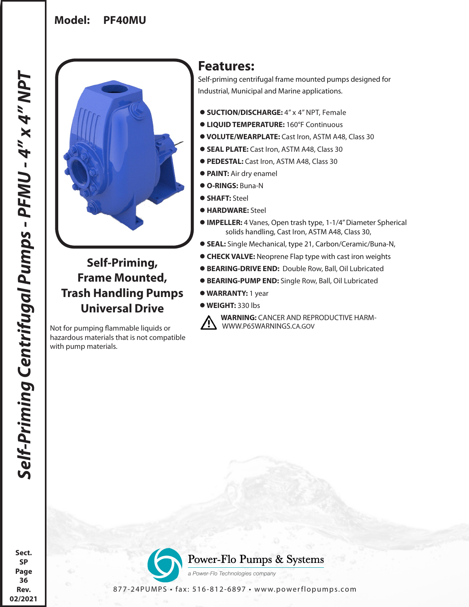## **Model: PF40MU**



# **Self-Priming, Frame Mounted, Trash Handling Pumps Universal Drive**

Not for pumping flammable liquids or hazardous materials that is not compatible with pump materials.

# **Features:**

Self-priming centrifugal frame mounted pumps designed for Industrial, Municipal and Marine applications.

- **SUCTION/DISCHARGE:** 4" x 4" NPT, Female
- **LIQUID TEMPERATURE:** 160°F Continuous
- **VOLUTE/WEARPLATE:** Cast Iron, ASTM A48, Class 30
- **SEAL PLATE:** Cast Iron, ASTM A48, Class 30
- **PEDESTAL:** Cast Iron, ASTM A48, Class 30
- **PAINT:** Air dry enamel
- **O-RINGS:** Buna-N
- **SHAFT:** Steel
- **HARDWARE:** Steel
- **IMPELLER:** 4 Vanes, Open trash type, 1-1/4" Diameter Spherical solids handling, Cast Iron, ASTM A48, Class 30,
- **SEAL:** Single Mechanical, type 21, Carbon/Ceramic/Buna-N,
- **CHECK VALVE:** Neoprene Flap type with cast iron weights
- **BEARING-DRIVE END:** Double Row, Ball, Oil Lubricated
- **BEARING-PUMP END:** Single Row, Ball, Oil Lubricated
- **WARRANTY:** 1 year
- **WEIGHT:** 330 lbs



**A WARNING:** CANCER AND REPRODUCTIVE HARM-<br>WWW.P65WARNINGS.CA.GOV

**Sect. SP Page 36 Rev. 02/2021**



Power-Flo Pumps & Systems

a Power-Flo Technologies company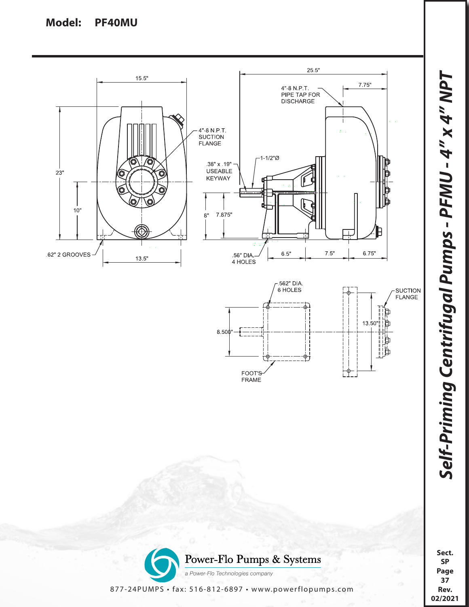#### **Model: PF40MU**





**Sect. SP Page 37 Rev. 02/2021**